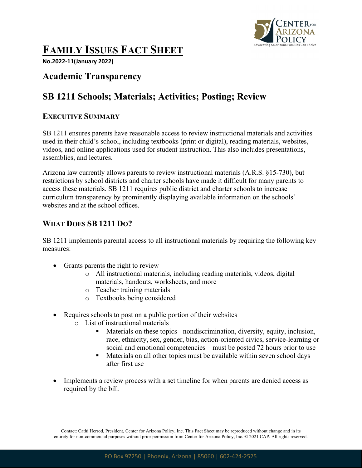

# **FAMILY ISSUES FACT SHEET**

**No.2022-11(January 2022)**

## **Academic Transparency**

# **SB 1211 Schools; Materials; Activities; Posting; Review**

#### **EXECUTIVE SUMMARY**

SB 1211 ensures parents have reasonable access to review instructional materials and activities used in their child's school, including textbooks (print or digital), reading materials, websites, videos, and online applications used for student instruction. This also includes presentations, assemblies, and lectures.

Arizona law currently allows parents to review instructional materials (A.R.S. §15-730), but restrictions by school districts and charter schools have made it difficult for many parents to access these materials. SB 1211 requires public district and charter schools to increase curriculum transparency by prominently displaying available information on the schools' websites and at the school offices.

### **WHAT DOES SB 1211 DO?**

SB 1211 implements parental access to all instructional materials by requiring the following key measures:

- Grants parents the right to review
	- o All instructional materials, including reading materials, videos, digital materials, handouts, worksheets, and more
	- o Teacher training materials
	- o Textbooks being considered
- Requires schools to post on a public portion of their websites
	- o List of instructional materials
		- § Materials on these topics nondiscrimination, diversity, equity, inclusion, race, ethnicity, sex, gender, bias, action-oriented civics, service-learning or social and emotional competencies – must be posted 72 hours prior to use
		- Materials on all other topics must be available within seven school days after first use
- Implements a review process with a set timeline for when parents are denied access as required by the bill.

Contact: Cathi Herrod, President, Center for Arizona Policy, Inc. This Fact Sheet may be reproduced without change and in its entirety for non-commercial purposes without prior permission from Center for Arizona Policy, Inc. © 2021 CAP. All rights reserved.